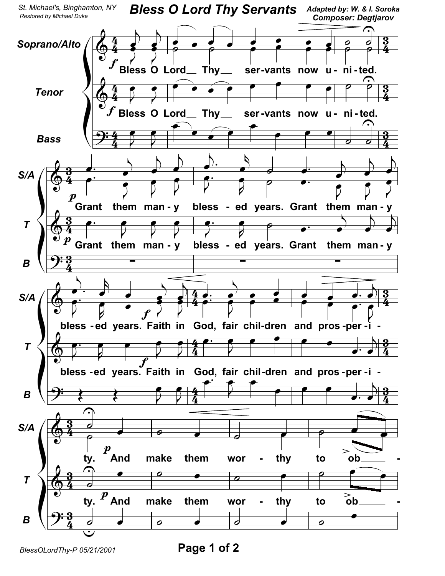

BlessOLordThy-P 05/21/2001

Page 1 of 2